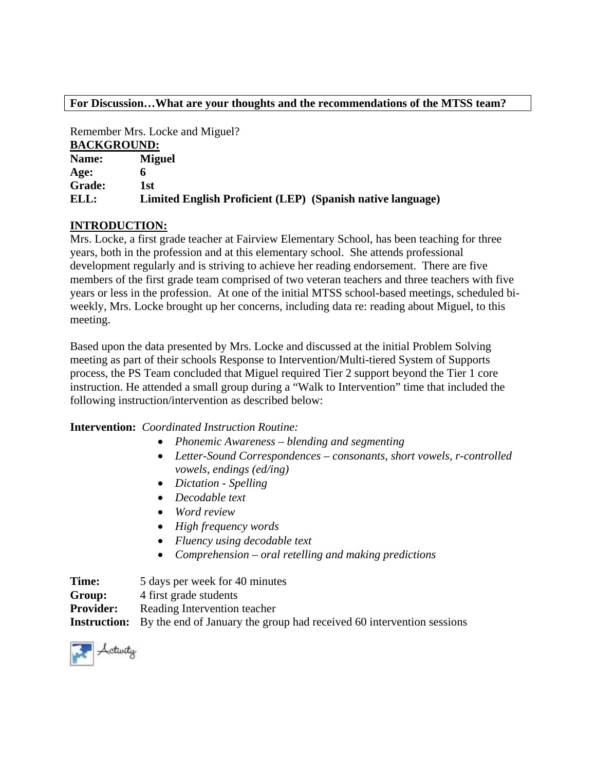## **For Discussion…What are your thoughts and the recommendations of the MTSS team?**

Remember Mrs. Locke and Miguel? **BACKGROUND: Name: Miguel Age: 6 Grade: 1st ELL: Limited English Proficient (LEP) (Spanish native language)**

## **INTRODUCTION:**

Mrs. Locke, a first grade teacher at Fairview Elementary School, has been teaching for three years, both in the profession and at this elementary school. She attends professional development regularly and is striving to achieve her reading endorsement. There are five members of the first grade team comprised of two veteran teachers and three teachers with five years or less in the profession. At one of the initial MTSS school-based meetings, scheduled biweekly, Mrs. Locke brought up her concerns, including data re: reading about Miguel, to this meeting.

Based upon the data presented by Mrs. Locke and discussed at the initial Problem Solving meeting as part of their schools Response to Intervention/Multi-tiered System of Supports process, the PS Team concluded that Miguel required Tier 2 support beyond the Tier 1 core instruction. He attended a small group during a "Walk to Intervention" time that included the following instruction/intervention as described below:

## **Intervention:** *Coordinated Instruction Routine:*

- *Phonemic Awareness – blending and segmenting*
- *Letter-Sound Correspondences – consonants, short vowels, r-controlled vowels, endings (ed/ing)*
- *Dictation - Spelling*
- *Decodable text*
- *Word review*
- *High frequency words*
- *Fluency using decodable text*
- *Comprehension – oral retelling and making predictions*

**Time:** 5 days per week for 40 minutes **Group:** 4 first grade students **Provider:** Reading Intervention teacher **Instruction:** By the end of January the group had received 60 intervention sessions